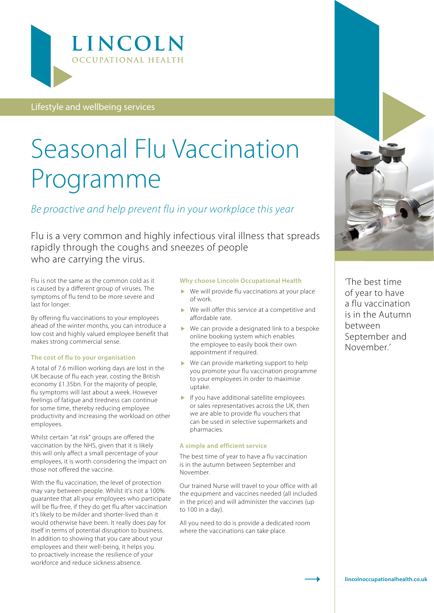

Lifestyle and wellbeing services

# Seasonal Flu Vaccination Programme

#### *Be proactive and help prevent flu in your workplace this year*

Flu is a very common and highly infectious viral illness that spreads rapidly through the coughs and sneezes of people who are carrying the virus.

Flu is not the same as the common cold as it is caused by a different group of viruses. The symptoms of flu tend to be more severe and last for longer.

By offering flu vaccinations to your employees ahead of the winter months, you can introduce a low cost and highly valued employee benefit that makes strong commercial sense.

#### **The cost of flu to your organisation**

A total of 7.6 million working days are lost in the UK because of flu each year, costing the British economy £1.35bn. For the majority of people, flu symptoms will last about a week. However feelings of fatigue and tiredness can continue for some time, thereby reducing employee productivity and increasing the workload on other employees.

Whilst certain "at risk" groups are offered the vaccination by the NHS, given that it is likely this will only affect a small percentage of your employees, it is worth considering the impact on those not offered the vaccine.

With the flu vaccination, the level of protection may vary between people. Whilst it's not a 100% guarantee that all your employees who participate will be flu-free, if they do get flu after vaccination it's likely to be milder and shorter-lived than it would otherwise have been. It really does pay for itself in terms of potential disruption to business. In addition to showing that you care about your employees and their well-being, it helps you to proactively increase the resilience of your workforce and reduce sickness absence.

#### **Why choose Lincoln Occupational Health**

- ▶ We will provide flu vaccinations at your place of work.
- ▶ We will offer this service at a competitive and affordable rate.
- We can provide a designated link to a bespoke online booking system which enables the employee to easily book their own appointment if required.
- ▶ We can provide marketing support to help you promote your flu vaccination programme to your employees in order to maximise uptake.
- If you have additional satellite employees or sales representatives across the UK, then we are able to provide flu vouchers that can be used in selective supermarkets and pharmacies.

#### **A simple and efficient service**

The best time of year to have a flu vaccination is in the autumn between September and November.

Our trained Nurse will travel to your office with all the equipment and vaccines needed (all included in the price) and will administer the vaccines (up to 100 in a day).

All you need to do is provide a dedicated room where the vaccinations can take place.



'The best time of year to have a flu vaccination is in the Autumn between September and November.'